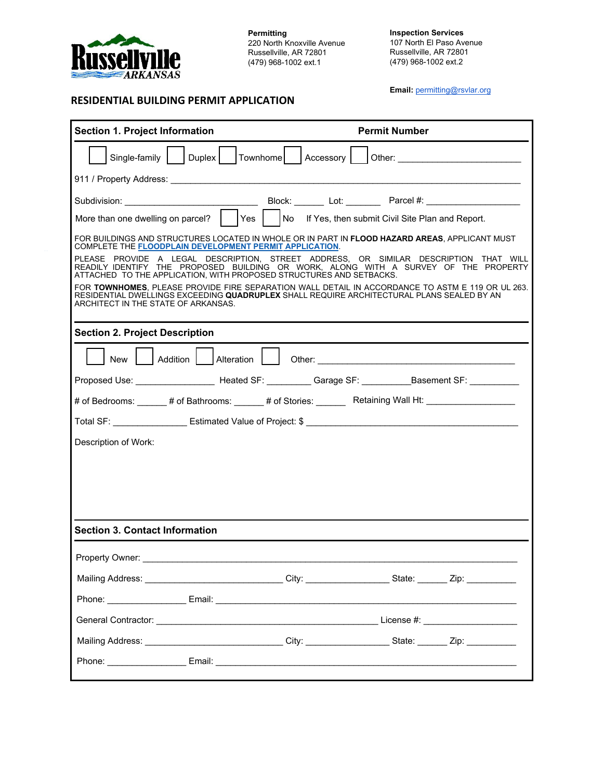

**RESIDENTIAL BUILDING PERMIT APPLICATION**

**Permitting** 220 North Knoxville Avenue Russellville, AR 72801 (479) 968-1002 ext.1

**Inspection Services** 107 North El Paso Avenue Russellville, AR 72801 (479) 968-1002 ext.2

**Email:** [permitting@rsvlar.org](mailto:permittinggroup@rsvlar.org)

| <b>Section 1. Project Information</b>                                                                                                                                                                                                              |                         |  | <b>Permit Number</b> |                                                    |                                                                                                                                                                                                                                |  |
|----------------------------------------------------------------------------------------------------------------------------------------------------------------------------------------------------------------------------------------------------|-------------------------|--|----------------------|----------------------------------------------------|--------------------------------------------------------------------------------------------------------------------------------------------------------------------------------------------------------------------------------|--|
| Duplex<br>Townhome   Accessory  <br>Single-family                                                                                                                                                                                                  |                         |  |                      |                                                    |                                                                                                                                                                                                                                |  |
|                                                                                                                                                                                                                                                    |                         |  |                      |                                                    |                                                                                                                                                                                                                                |  |
| Subdivision: ________________________________                                                                                                                                                                                                      |                         |  |                      |                                                    |                                                                                                                                                                                                                                |  |
| More than one dwelling on parcel?                                                                                                                                                                                                                  | Yes                     |  |                      | No If Yes, then submit Civil Site Plan and Report. |                                                                                                                                                                                                                                |  |
| FOR BUILDINGS AND STRUCTURES LOCATED IN WHOLE OR IN PART IN FLOOD HAZARD AREAS, APPLICANT MUST<br><b>COMPLETE THE FLOODPLAIN DEVELOPMENT PERMIT APPLICATION.</b>                                                                                   |                         |  |                      |                                                    |                                                                                                                                                                                                                                |  |
| PLEASE PROVIDE A LEGAL DESCRIPTION, STREET ADDRESS, OR SIMILAR DESCRIPTION THAT WILL<br>READILY IDENTIFY THE PROPOSED BUILDING OR WORK, ALONG WITH A SURVEY OF THE PROPERTY<br>ATTACHED TO THE APPLICATION, WITH PROPOSED STRUCTURES AND SETBACKS. |                         |  |                      |                                                    |                                                                                                                                                                                                                                |  |
| FOR TOWNHOMES, PLEASE PROVIDE FIRE SEPARATION WALL DETAIL IN ACCORDANCE TO ASTM E 119 OR UL 263.<br>RESIDENTIAL DWELLINGS EXCEEDING QUADRUPLEX SHALL REQUIRE ARCHITECTURAL PLANS SEALED BY AN<br>ARCHITECT IN THE STATE OF ARKANSAS.               |                         |  |                      |                                                    |                                                                                                                                                                                                                                |  |
| <b>Section 2. Project Description</b>                                                                                                                                                                                                              |                         |  |                      |                                                    |                                                                                                                                                                                                                                |  |
| New                                                                                                                                                                                                                                                | Addition     Alteration |  |                      |                                                    | Other: contract the contract of the contract of the contract of the contract of the contract of the contract of the contract of the contract of the contract of the contract of the contract of the contract of the contract o |  |
| Proposed Use: _______________________Heated SF: ___________Garage SF: ___________Basement SF: ____________                                                                                                                                         |                         |  |                      |                                                    |                                                                                                                                                                                                                                |  |
| # of Bedrooms: ______ # of Bathrooms: ______ # of Stories: _______ Retaining Wall Ht: ___________________                                                                                                                                          |                         |  |                      |                                                    |                                                                                                                                                                                                                                |  |
| Total SF: Estimated Value of Project: \$                                                                                                                                                                                                           |                         |  |                      |                                                    |                                                                                                                                                                                                                                |  |
| Description of Work:                                                                                                                                                                                                                               |                         |  |                      |                                                    |                                                                                                                                                                                                                                |  |
|                                                                                                                                                                                                                                                    |                         |  |                      |                                                    |                                                                                                                                                                                                                                |  |
|                                                                                                                                                                                                                                                    |                         |  |                      |                                                    |                                                                                                                                                                                                                                |  |
|                                                                                                                                                                                                                                                    |                         |  |                      |                                                    |                                                                                                                                                                                                                                |  |
| <b>Section 3. Contact Information</b>                                                                                                                                                                                                              |                         |  |                      |                                                    |                                                                                                                                                                                                                                |  |
| Property Owner:                                                                                                                                                                                                                                    |                         |  |                      |                                                    |                                                                                                                                                                                                                                |  |
|                                                                                                                                                                                                                                                    |                         |  |                      |                                                    |                                                                                                                                                                                                                                |  |
| Mailing Address: _________________________________City: _____________________State: ________ Zip: ____________                                                                                                                                     |                         |  |                      |                                                    |                                                                                                                                                                                                                                |  |
|                                                                                                                                                                                                                                                    |                         |  |                      |                                                    |                                                                                                                                                                                                                                |  |
|                                                                                                                                                                                                                                                    |                         |  |                      |                                                    |                                                                                                                                                                                                                                |  |
| Mailing Address: _________________________________City: ___________________State: ________Zip: ___________                                                                                                                                         |                         |  |                      |                                                    |                                                                                                                                                                                                                                |  |
|                                                                                                                                                                                                                                                    |                         |  |                      |                                                    |                                                                                                                                                                                                                                |  |